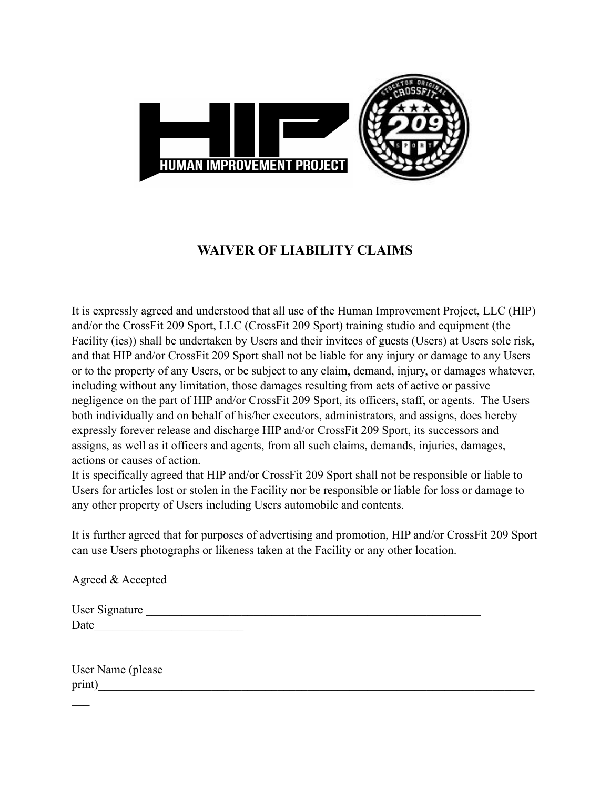

## **WAIVER OF LIABILITY CLAIMS**

It is expressly agreed and understood that all use of the Human Improvement Project, LLC (HIP) and/or the CrossFit 209 Sport, LLC (CrossFit 209 Sport) training studio and equipment (the Facility (ies)) shall be undertaken by Users and their invitees of guests (Users) at Users sole risk, and that HIP and/or CrossFit 209 Sport shall not be liable for any injury or damage to any Users or to the property of any Users, or be subject to any claim, demand, injury, or damages whatever, including without any limitation, those damages resulting from acts of active or passive negligence on the part of HIP and/or CrossFit 209 Sport, its officers, staff, or agents. The Users both individually and on behalf of his/her executors, administrators, and assigns, does hereby expressly forever release and discharge HIP and/or CrossFit 209 Sport, its successors and assigns, as well as it officers and agents, from all such claims, demands, injuries, damages, actions or causes of action.

It is specifically agreed that HIP and/or CrossFit 209 Sport shall not be responsible or liable to Users for articles lost or stolen in the Facility nor be responsible or liable for loss or damage to any other property of Users including Users automobile and contents.

It is further agreed that for purposes of advertising and promotion, HIP and/or CrossFit 209 Sport can use Users photographs or likeness taken at the Facility or any other location.

Agreed & Accepted

| User Signature |  |  |
|----------------|--|--|
| Date           |  |  |

|        | User Name (please |  |
|--------|-------------------|--|
| print) |                   |  |

 $\mathcal{L}_\mathcal{L}$